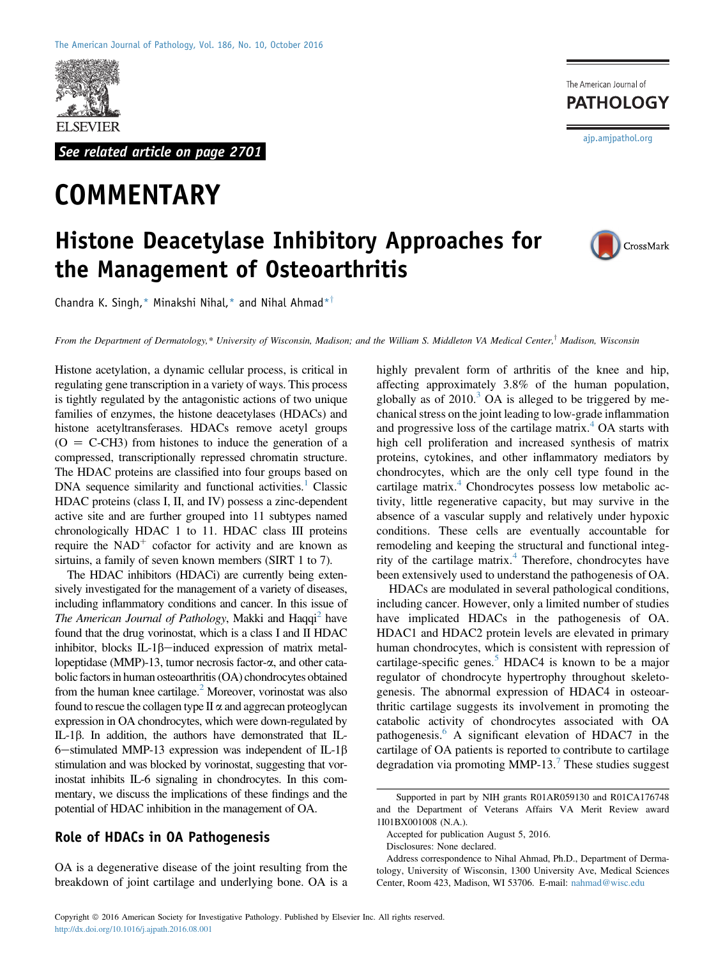

See related article on page 2701

# **COMMENTARY**

The American Journal of **PATHOLOGY** [ajp.amjpathol.org](http://ajp.amjpathol.org)

# Histone Deacetylase Inhibitory Approaches for the Management of Osteoarthritis



Chandra K. Singh,\* Minakshi Nihal,\* and Nihal Ahmad\*<sup>†</sup>

From the Department of Dermatology,\* University of Wisconsin, Madison; and the William S. Middleton VA Medical Center,<sup>†</sup> Madison, Wisconsin

Histone acetylation, a dynamic cellular process, is critical in regulating gene transcription in a variety of ways. This process is tightly regulated by the antagonistic actions of two unique families of enzymes, the histone deacetylases (HDACs) and histone acetyltransferases. HDACs remove acetyl groups  $(O = C-CH3)$  from histones to induce the generation of a compressed, transcriptionally repressed chromatin structure. The HDAC proteins are classified into four groups based on DNA sequence similarity and functional activities.<sup>1</sup> Classic HDAC proteins (class I, II, and IV) possess a zinc-dependent active site and are further grouped into 11 subtypes named chronologically HDAC 1 to 11. HDAC class III proteins require the  $NAD<sup>+</sup>$  cofactor for activity and are known as sirtuins, a family of seven known members (SIRT 1 to 7).

The HDAC inhibitors (HDACi) are currently being extensively investigated for the management of a variety of diseases, including inflammatory conditions and cancer. In this issue of The American Journal of Pathology, Makki and Haqqi<sup>2</sup> have found that the drug vorinostat, which is a class I and II HDAC inhibitor, blocks  $IL-1\beta$ —induced expression of matrix metallopeptidase (MMP)-13, tumor necrosis factor-α, and other catabolic factors in human osteoarthritis (OA) chondrocytes obtained from the human knee cartilage. $<sup>2</sup>$  Moreover, vorinostat was also</sup> found to rescue the collagen type  $II \alpha$  and aggrecan proteoglycan expression in OA chondrocytes, which were down-regulated by IL-1b. In addition, the authors have demonstrated that IL-6-stimulated MMP-13 expression was independent of IL-1 $\beta$ stimulation and was blocked by vorinostat, suggesting that vorinostat inhibits IL-6 signaling in chondrocytes. In this commentary, we discuss the implications of these findings and the potential of HDAC inhibition in the management of OA.

### Role of HDACs in OA Pathogenesis

OA is a degenerative disease of the joint resulting from the breakdown of joint cartilage and underlying bone. OA is a

highly prevalent form of arthritis of the knee and hip, affecting approximately 3.8% of the human population, globally as of  $2010<sup>3</sup>$  $2010<sup>3</sup>$  $2010<sup>3</sup>$  OA is alleged to be triggered by mechanical stress on the joint leading to low-grade inflammation and progressive loss of the cartilage matrix. $4$  OA starts with high cell proliferation and increased synthesis of matrix proteins, cytokines, and other inflammatory mediators by chondrocytes, which are the only cell type found in the cartilage matrix.<sup>[4](#page-2-3)</sup> Chondrocytes possess low metabolic activity, little regenerative capacity, but may survive in the absence of a vascular supply and relatively under hypoxic conditions. These cells are eventually accountable for remodeling and keeping the structural and functional integ-rity of the cartilage matrix.<sup>[4](#page-2-3)</sup> Therefore, chondrocytes have been extensively used to understand the pathogenesis of OA.

HDACs are modulated in several pathological conditions, including cancer. However, only a limited number of studies have implicated HDACs in the pathogenesis of OA. HDAC1 and HDAC2 protein levels are elevated in primary human chondrocytes, which is consistent with repression of cartilage-specific genes.<sup>[5](#page-2-4)</sup> HDAC4 is known to be a major regulator of chondrocyte hypertrophy throughout skeletogenesis. The abnormal expression of HDAC4 in osteoarthritic cartilage suggests its involvement in promoting the catabolic activity of chondrocytes associated with OA pathogenesis.<sup>6</sup> A significant elevation of HDAC7 in the cartilage of OA patients is reported to contribute to cartilage degradation via promoting MMP-13.<sup>[7](#page-2-6)</sup> These studies suggest

Supported in part by NIH grants R01AR059130 and R01CA176748 and the Department of Veterans Affairs VA Merit Review award 1I01BX001008 (N.A.).

Accepted for publication August 5, 2016.

Disclosures: None declared.

Address correspondence to Nihal Ahmad, Ph.D., Department of Dermatology, University of Wisconsin, 1300 University Ave, Medical Sciences Center, Room 423, Madison, WI 53706. E-mail: [nahmad@wisc.edu](mailto:nahmad@wisc.edu)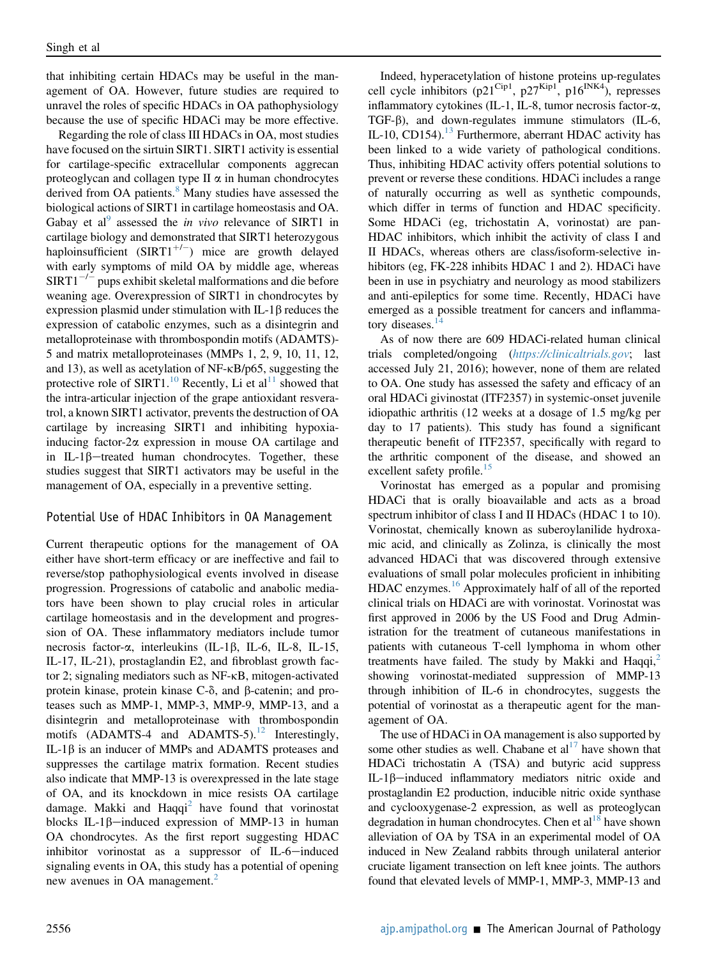that inhibiting certain HDACs may be useful in the management of OA. However, future studies are required to unravel the roles of specific HDACs in OA pathophysiology because the use of specific HDACi may be more effective.

Regarding the role of class III HDACs in OA, most studies have focused on the sirtuin SIRT1. SIRT1 activity is essential for cartilage-specific extracellular components aggrecan proteoglycan and collagen type  $II \alpha$  in human chondrocytes derived from OA patients.<sup>[8](#page-2-7)</sup> Many studies have assessed the biological actions of SIRT1 in cartilage homeostasis and OA. Gabay et al<sup>[9](#page-2-8)</sup> assessed the *in vivo* relevance of SIRT1 in cartilage biology and demonstrated that SIRT1 heterozygous haploinsufficient  $(SIRT1^{+/-})$  mice are growth delayed with early symptoms of mild OA by middle age, whereas  $SIRT1^{-/-}$  pups exhibit skeletal malformations and die before weaning age. Overexpression of SIRT1 in chondrocytes by expression plasmid under stimulation with  $IL-1\beta$  reduces the expression of catabolic enzymes, such as a disintegrin and metalloproteinase with thrombospondin motifs (ADAMTS)- 5 and matrix metalloproteinases (MMPs 1, 2, 9, 10, 11, 12, and 13), as well as acetylation of NF- $\kappa$ B/p65, suggesting the protective role of SIRT1.<sup>[10](#page-2-9)</sup> Recently, Li et al<sup>11</sup> showed that the intra-articular injection of the grape antioxidant resveratrol, a known SIRT1 activator, prevents the destruction of OA cartilage by increasing SIRT1 and inhibiting hypoxiainducing factor- $2\alpha$  expression in mouse OA cartilage and in IL-1 $\beta$ -treated human chondrocytes. Together, these studies suggest that SIRT1 activators may be useful in the management of OA, especially in a preventive setting.

### Potential Use of HDAC Inhibitors in OA Management

Current therapeutic options for the management of OA either have short-term efficacy or are ineffective and fail to reverse/stop pathophysiological events involved in disease progression. Progressions of catabolic and anabolic mediators have been shown to play crucial roles in articular cartilage homeostasis and in the development and progression of OA. These inflammatory mediators include tumor necrosis factor- $\alpha$ , interleukins (IL-1 $\beta$ , IL-6, IL-8, IL-15, IL-17, IL-21), prostaglandin E2, and fibroblast growth factor 2; signaling mediators such as NF-kB, mitogen-activated protein kinase, protein kinase  $C$ - $\delta$ , and  $\beta$ -catenin; and proteases such as MMP-1, MMP-3, MMP-9, MMP-13, and a disintegrin and metalloproteinase with thrombospondin motifs (ADAMTS-4 and ADAMTS-5).<sup>12</sup> Interestingly, IL-1 $\beta$  is an inducer of MMPs and ADAMTS proteases and suppresses the cartilage matrix formation. Recent studies also indicate that MMP-13 is overexpressed in the late stage of OA, and its knockdown in mice resists OA cartilage damage. Makki and  $Haqq^2$  $Haqq^2$  have found that vorinostat blocks IL-1 $\beta$ -induced expression of MMP-13 in human OA chondrocytes. As the first report suggesting HDAC inhibitor vorinostat as a suppressor of  $IL-6$ -induced signaling events in OA, this study has a potential of opening new avenues in OA management.<sup>[2](#page-2-1)</sup>

Indeed, hyperacetylation of histone proteins up-regulates cell cycle inhibitors (p21<sup>Cip1</sup>, p27<sup>Kip1</sup>, p16<sup>INK4</sup>), represses inflammatory cytokines (IL-1, IL-8, tumor necrosis factor-a, TGF- $\beta$ ), and down-regulates immune stimulators (IL-6, IL-10, CD154).<sup>13</sup> Furthermore, aberrant HDAC activity has been linked to a wide variety of pathological conditions. Thus, inhibiting HDAC activity offers potential solutions to prevent or reverse these conditions. HDACi includes a range of naturally occurring as well as synthetic compounds, which differ in terms of function and HDAC specificity. Some HDACi (eg, trichostatin A, vorinostat) are pan-HDAC inhibitors, which inhibit the activity of class I and II HDACs, whereas others are class/isoform-selective inhibitors (eg, FK-228 inhibits HDAC 1 and 2). HDACi have been in use in psychiatry and neurology as mood stabilizers and anti-epileptics for some time. Recently, HDACi have emerged as a possible treatment for cancers and inflamma-tory diseases.<sup>[14](#page-2-13)</sup>

As of now there are 609 HDACi-related human clinical trials completed/ongoing (<https://clinicaltrials.gov>; last accessed July 21, 2016); however, none of them are related to OA. One study has assessed the safety and efficacy of an oral HDACi givinostat (ITF2357) in systemic-onset juvenile idiopathic arthritis (12 weeks at a dosage of 1.5 mg/kg per day to 17 patients). This study has found a significant therapeutic benefit of ITF2357, specifically with regard to the arthritic component of the disease, and showed an excellent safety profile. $15$ 

Vorinostat has emerged as a popular and promising HDACi that is orally bioavailable and acts as a broad spectrum inhibitor of class I and II HDACs (HDAC 1 to 10). Vorinostat, chemically known as suberoylanilide hydroxamic acid, and clinically as Zolinza, is clinically the most advanced HDACi that was discovered through extensive evaluations of small polar molecules proficient in inhibiting HDAC enzymes.<sup>[16](#page-2-15)</sup> Approximately half of all of the reported clinical trials on HDACi are with vorinostat. Vorinostat was first approved in 2006 by the US Food and Drug Administration for the treatment of cutaneous manifestations in patients with cutaneous T-cell lymphoma in whom other treatments have failed. The study by Makki and Haqqi, $^2$  $^2$ showing vorinostat-mediated suppression of MMP-13 through inhibition of IL-6 in chondrocytes, suggests the potential of vorinostat as a therapeutic agent for the management of OA.

The use of HDACi in OA management is also supported by some other studies as well. Chabane et  $al<sup>17</sup>$  have shown that HDACi trichostatin A (TSA) and butyric acid suppress IL-1 $\beta$ -induced inflammatory mediators nitric oxide and prostaglandin E2 production, inducible nitric oxide synthase and cyclooxygenase-2 expression, as well as proteoglycan degradation in human chondrocytes. Chen et al<sup>[18](#page-3-0)</sup> have shown alleviation of OA by TSA in an experimental model of OA induced in New Zealand rabbits through unilateral anterior cruciate ligament transection on left knee joints. The authors found that elevated levels of MMP-1, MMP-3, MMP-13 and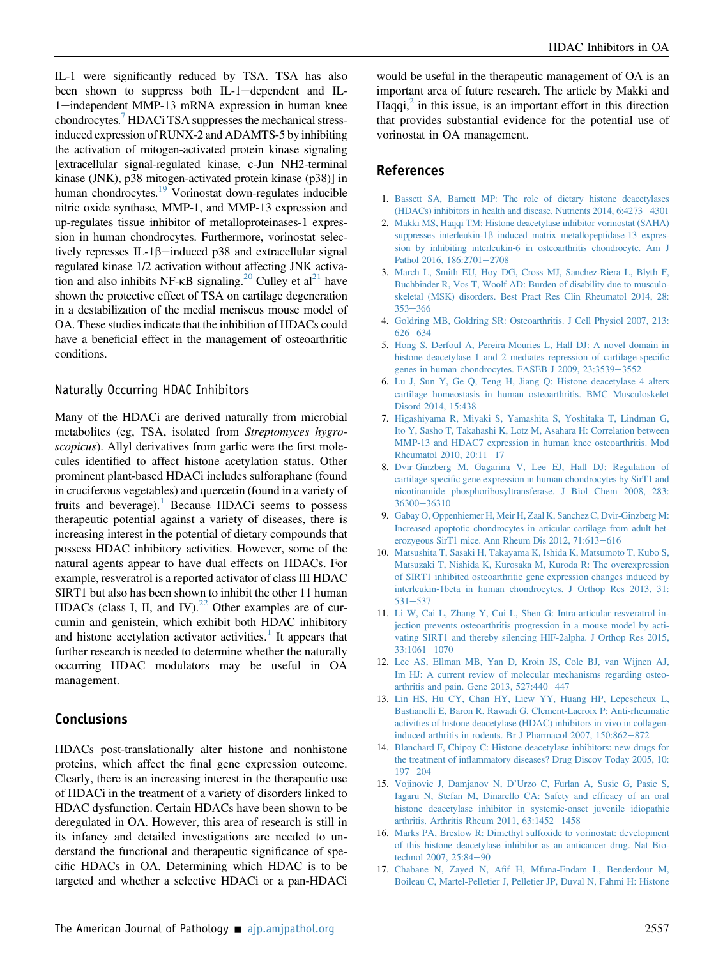IL-1 were significantly reduced by TSA. TSA has also been shown to suppress both IL-1-dependent and IL-1-independent MMP-13 mRNA expression in human knee chondrocytes.<sup>[7](#page-2-6)</sup> HDACi TSA suppresses the mechanical stressinduced expression of RUNX-2 and ADAMTS-5 by inhibiting the activation of mitogen-activated protein kinase signaling [extracellular signal-regulated kinase, c-Jun NH2-terminal kinase (JNK), p38 mitogen-activated protein kinase (p38)] in human chondrocytes.<sup>19</sup> Vorinostat down-regulates inducible nitric oxide synthase, MMP-1, and MMP-13 expression and up-regulates tissue inhibitor of metalloproteinases-1 expression in human chondrocytes. Furthermore, vorinostat selectively represses IL-1 $\beta$ -induced p38 and extracellular signal regulated kinase 1/2 activation without affecting JNK activation and also inhibits NF- $\kappa$ B signaling.<sup>20</sup> Culley et al<sup>21</sup> have shown the protective effect of TSA on cartilage degeneration in a destabilization of the medial meniscus mouse model of OA. These studies indicate that the inhibition of HDACs could have a beneficial effect in the management of osteoarthritic conditions.

#### Naturally Occurring HDAC Inhibitors

Many of the HDACi are derived naturally from microbial metabolites (eg, TSA, isolated from Streptomyces hygroscopicus). Allyl derivatives from garlic were the first molecules identified to affect histone acetylation status. Other prominent plant-based HDACi includes sulforaphane (found in cruciferous vegetables) and quercetin (found in a variety of fruits and beverage).<sup>[1](#page-2-0)</sup> Because HDACi seems to possess therapeutic potential against a variety of diseases, there is increasing interest in the potential of dietary compounds that possess HDAC inhibitory activities. However, some of the natural agents appear to have dual effects on HDACs. For example, resveratrol is a reported activator of class III HDAC SIRT1 but also has been shown to inhibit the other 11 human HDACs (class I, II, and IV).<sup>[22](#page-3-4)</sup> Other examples are of curcumin and genistein, which exhibit both HDAC inhibitory and histone acetylation activator activities.<sup>[1](#page-2-0)</sup> It appears that further research is needed to determine whether the naturally occurring HDAC modulators may be useful in OA management.

## Conclusions

HDACs post-translationally alter histone and nonhistone proteins, which affect the final gene expression outcome. Clearly, there is an increasing interest in the therapeutic use of HDACi in the treatment of a variety of disorders linked to HDAC dysfunction. Certain HDACs have been shown to be deregulated in OA. However, this area of research is still in its infancy and detailed investigations are needed to understand the functional and therapeutic significance of specific HDACs in OA. Determining which HDAC is to be targeted and whether a selective HDACi or a pan-HDACi would be useful in the therapeutic management of OA is an important area of future research. The article by Makki and Haqqi, $^2$  $^2$  in this issue, is an important effort in this direction that provides substantial evidence for the potential use of vorinostat in OA management.

#### **References** References

- <span id="page-2-0"></span>1. [Bassett SA, Barnett MP: The role of dietary histone deacetylases](http://refhub.elsevier.com/S0002-9440(16)30280-2/sref1) (HDACs) inhibitors in health and disease. Nutrients  $2014$ ,  $6:4273-4301$  $6:4273-4301$
- <span id="page-2-1"></span>2. [Makki MS, Haqqi TM: Histone deacetylase inhibitor vorinostat \(SAHA\)](http://refhub.elsevier.com/S0002-9440(16)30280-2/sref2) suppresses interleukin-1 $\beta$  [induced matrix metallopeptidase-13 expres](http://refhub.elsevier.com/S0002-9440(16)30280-2/sref2)[sion by inhibiting interleukin-6 in osteoarthritis chondrocyte. Am J](http://refhub.elsevier.com/S0002-9440(16)30280-2/sref2) [Pathol 2016, 186:2701](http://refhub.elsevier.com/S0002-9440(16)30280-2/sref2)-[2708](http://refhub.elsevier.com/S0002-9440(16)30280-2/sref2)
- <span id="page-2-2"></span>3. [March L, Smith EU, Hoy DG, Cross MJ, Sanchez-Riera L, Blyth F,](http://refhub.elsevier.com/S0002-9440(16)30280-2/sref3) [Buchbinder R, Vos T, Woolf AD: Burden of disability due to musculo](http://refhub.elsevier.com/S0002-9440(16)30280-2/sref3)[skeletal \(MSK\) disorders. Best Pract Res Clin Rheumatol 2014, 28:](http://refhub.elsevier.com/S0002-9440(16)30280-2/sref3)  $353 - 366$  $353 - 366$  $353 - 366$
- <span id="page-2-3"></span>4. [Goldring MB, Goldring SR: Osteoarthritis. J Cell Physiol 2007, 213:](http://refhub.elsevier.com/S0002-9440(16)30280-2/sref4)  $626 - 634$  $626 - 634$  $626 - 634$
- <span id="page-2-4"></span>5. [Hong S, Derfoul A, Pereira-Mouries L, Hall DJ: A novel domain in](http://refhub.elsevier.com/S0002-9440(16)30280-2/sref5) [histone deacetylase 1 and 2 mediates repression of cartilage-speci](http://refhub.elsevier.com/S0002-9440(16)30280-2/sref5)fic [genes in human chondrocytes. FASEB J 2009, 23:3539](http://refhub.elsevier.com/S0002-9440(16)30280-2/sref5)-[3552](http://refhub.elsevier.com/S0002-9440(16)30280-2/sref5)
- <span id="page-2-5"></span>6. [Lu J, Sun Y, Ge Q, Teng H, Jiang Q: Histone deacetylase 4 alters](http://refhub.elsevier.com/S0002-9440(16)30280-2/sref6) [cartilage homeostasis in human osteoarthritis. BMC Musculoskelet](http://refhub.elsevier.com/S0002-9440(16)30280-2/sref6) [Disord 2014, 15:438](http://refhub.elsevier.com/S0002-9440(16)30280-2/sref6)
- <span id="page-2-6"></span>7. [Higashiyama R, Miyaki S, Yamashita S, Yoshitaka T, Lindman G,](http://refhub.elsevier.com/S0002-9440(16)30280-2/sref7) [Ito Y, Sasho T, Takahashi K, Lotz M, Asahara H: Correlation between](http://refhub.elsevier.com/S0002-9440(16)30280-2/sref7) [MMP-13 and HDAC7 expression in human knee osteoarthritis. Mod](http://refhub.elsevier.com/S0002-9440(16)30280-2/sref7) Rheumatol 2010,  $20:11-17$  $20:11-17$
- <span id="page-2-7"></span>8. [Dvir-Ginzberg M, Gagarina V, Lee EJ, Hall DJ: Regulation of](http://refhub.elsevier.com/S0002-9440(16)30280-2/sref8) cartilage-specifi[c gene expression in human chondrocytes by SirT1 and](http://refhub.elsevier.com/S0002-9440(16)30280-2/sref8) [nicotinamide phosphoribosyltransferase. J Biol Chem 2008, 283:](http://refhub.elsevier.com/S0002-9440(16)30280-2/sref8) [36300](http://refhub.elsevier.com/S0002-9440(16)30280-2/sref8)-[36310](http://refhub.elsevier.com/S0002-9440(16)30280-2/sref8)
- <span id="page-2-8"></span>9. [Gabay O, Oppenhiemer H, Meir H, Zaal K, Sanchez C, Dvir-Ginzberg M:](http://refhub.elsevier.com/S0002-9440(16)30280-2/sref9) [Increased apoptotic chondrocytes in articular cartilage from adult het](http://refhub.elsevier.com/S0002-9440(16)30280-2/sref9)[erozygous SirT1 mice. Ann Rheum Dis 2012, 71:613](http://refhub.elsevier.com/S0002-9440(16)30280-2/sref9)-[616](http://refhub.elsevier.com/S0002-9440(16)30280-2/sref9)
- <span id="page-2-9"></span>10. [Matsushita T, Sasaki H, Takayama K, Ishida K, Matsumoto T, Kubo S,](http://refhub.elsevier.com/S0002-9440(16)30280-2/sref10) [Matsuzaki T, Nishida K, Kurosaka M, Kuroda R: The overexpression](http://refhub.elsevier.com/S0002-9440(16)30280-2/sref10) [of SIRT1 inhibited osteoarthritic gene expression changes induced by](http://refhub.elsevier.com/S0002-9440(16)30280-2/sref10) [interleukin-1beta in human chondrocytes. J Orthop Res 2013, 31:](http://refhub.elsevier.com/S0002-9440(16)30280-2/sref10)  $531 - 537$  $531 - 537$  $531 - 537$
- <span id="page-2-10"></span>11. [Li W, Cai L, Zhang Y, Cui L, Shen G: Intra-articular resveratrol in](http://refhub.elsevier.com/S0002-9440(16)30280-2/sref11)[jection prevents osteoarthritis progression in a mouse model by acti](http://refhub.elsevier.com/S0002-9440(16)30280-2/sref11)[vating SIRT1 and thereby silencing HIF-2alpha. J Orthop Res 2015,](http://refhub.elsevier.com/S0002-9440(16)30280-2/sref11)  $33:1061 - 1070$  $33:1061 - 1070$  $33:1061 - 1070$
- <span id="page-2-11"></span>12. [Lee AS, Ellman MB, Yan D, Kroin JS, Cole BJ, van Wijnen AJ,](http://refhub.elsevier.com/S0002-9440(16)30280-2/sref12) [Im HJ: A current review of molecular mechanisms regarding osteo](http://refhub.elsevier.com/S0002-9440(16)30280-2/sref12)arthritis and pain. Gene  $2013$ ,  $527:440-447$  $527:440-447$
- <span id="page-2-12"></span>13. [Lin HS, Hu CY, Chan HY, Liew YY, Huang HP, Lepescheux L,](http://refhub.elsevier.com/S0002-9440(16)30280-2/sref13) [Bastianelli E, Baron R, Rawadi G, Clement-Lacroix P: Anti-rheumatic](http://refhub.elsevier.com/S0002-9440(16)30280-2/sref13) [activities of histone deacetylase \(HDAC\) inhibitors in vivo in collagen](http://refhub.elsevier.com/S0002-9440(16)30280-2/sref13)induced arthritis in rodents. Br J Pharmacol  $2007$ ,  $150:862-872$  $150:862-872$
- <span id="page-2-13"></span>14. [Blanchard F, Chipoy C: Histone deacetylase inhibitors: new drugs for](http://refhub.elsevier.com/S0002-9440(16)30280-2/sref14) the treatment of infl[ammatory diseases? Drug Discov Today 2005, 10:](http://refhub.elsevier.com/S0002-9440(16)30280-2/sref14)  $197 - 204$  $197 - 204$  $197 - 204$
- <span id="page-2-14"></span>15. Vojinovic J, Damjanov N, D'[Urzo C, Furlan A, Susic G, Pasic S,](http://refhub.elsevier.com/S0002-9440(16)30280-2/sref15) [Iagaru N, Stefan M, Dinarello CA: Safety and ef](http://refhub.elsevier.com/S0002-9440(16)30280-2/sref15)ficacy of an oral [histone deacetylase inhibitor in systemic-onset juvenile idiopathic](http://refhub.elsevier.com/S0002-9440(16)30280-2/sref15) arthritis. Arthritis Rheum 2011,  $63:1452-1458$  $63:1452-1458$
- <span id="page-2-15"></span>16. [Marks PA, Breslow R: Dimethyl sulfoxide to vorinostat: development](http://refhub.elsevier.com/S0002-9440(16)30280-2/sref16) [of this histone deacetylase inhibitor as an anticancer drug. Nat Bio](http://refhub.elsevier.com/S0002-9440(16)30280-2/sref16)[technol 2007, 25:84](http://refhub.elsevier.com/S0002-9440(16)30280-2/sref16)-[90](http://refhub.elsevier.com/S0002-9440(16)30280-2/sref16)
- <span id="page-2-16"></span>17. Chabane N, Zayed N, Afi[f H, Mfuna-Endam L, Benderdour M,](http://refhub.elsevier.com/S0002-9440(16)30280-2/sref17) [Boileau C, Martel-Pelletier J, Pelletier JP, Duval N, Fahmi H: Histone](http://refhub.elsevier.com/S0002-9440(16)30280-2/sref17)